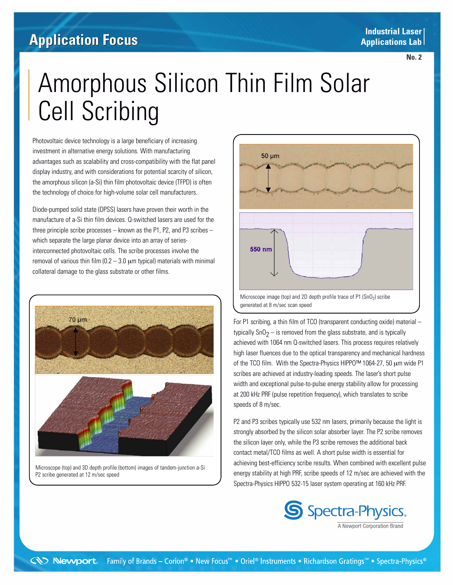### **Industrial Laser Applications Lab Industrial LaserApplications Lab**

## **Application Insight Application Focus**

**No.1 No. 2**

# Amorphous Silicon Thin Film Solar Cell Scribing

Photovoltaic device technology is a large beneficiary of increasing investment in alternative energy solutions. With manufacturing advantages such as scalability and cross-compatibility with the flat panel display industry, and with considerations for potential scarcity of silicon, the amorphous silicon (a-Si) thin film photovoltaic device (TFPD) is often the technology of choice for high-volume solar cell manufacturers.

Diode-pumped solid state (DPSS) lasers have proven their worth in the manufacture of a-Si thin film devices. Q-switched lasers are used for the three principle scribe processes – known as the  $P1$ ,  $P2$ , and  $P3$  scribes – which separate the large planar device into an array of seriesinterconnected photovoltaic cells. The scribe processes involve the removal of various thin film ( $0.2 - 3.0 \mu$ m typical) materials with minimal collateral damage to the glass substrate or other films.



Microscope (top) and 3D depth profile (bottom) images of tandem-junction a-Si P2 scribe generated at 12 m/sec speed



For P1 scribing, a thin film of TCO (transparent conducting oxide) material – typically  $SnO<sub>2</sub> - is removed from the glass substrate, and is typically$ achieved with 1064 nm Q-switched lasers. This process requires relatively high laser fluences due to the optical transparency and mechanical hardness of the TCO film. With the Spectra-Physics HIPPO™ 1064-27, 50 μm wide P1 scribes are achieved at industry-leading speeds. The laser's short pulse width and exceptional pulse-to-pulse energy stability allow for processing at 200 kHz PRF (pulse repetition frequency), which translates to scribe speeds of 8 m/sec.

P2 and P3 scribes typically use 532 nm lasers, primarily because the light is strongly absorbed by the silicon solar absorber layer. The P2 scribe removes the silicon layer only, while the P3 scribe removes the additional back contact metal/TCO films as well. A short pulse width is essential for achieving best-efficiency scribe results. When combined with excellent pulse energy stability at high PRF, scribe speeds of 12 m/sec are achieved with the Spectra-Physics HIPPO 532-15 laser system operating at 160 kHz PRF.



A Newport Corporation Brand